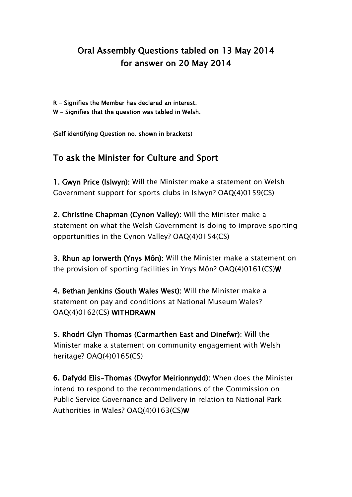## Oral Assembly Questions tabled on 13 May 2014 for answer on 20 May 2014

- R Signifies the Member has declared an interest.
- W Signifies that the question was tabled in Welsh.

(Self identifying Question no. shown in brackets)

## To ask the Minister for Culture and Sport

1. Gwyn Price (Islwyn): Will the Minister make a statement on Welsh Government support for sports clubs in Islwyn? OAQ(4)0159(CS)

2. Christine Chapman (Cynon Valley): Will the Minister make a statement on what the Welsh Government is doing to improve sporting opportunities in the Cynon Valley? OAQ(4)0154(CS)

3. Rhun ap Iorwerth (Ynys Môn): Will the Minister make a statement on the provision of sporting facilities in Ynys Môn? OAQ(4)0161(CS)W

4. Bethan Jenkins (South Wales West): Will the Minister make a statement on pay and conditions at National Museum Wales? OAQ(4)0162(CS) WITHDRAWN

5. Rhodri Glyn Thomas (Carmarthen East and Dinefwr): Will the Minister make a statement on community engagement with Welsh heritage? OAQ(4)0165(CS)

6. Dafydd Elis-Thomas (Dwyfor Meirionnydd): When does the Minister intend to respond to the recommendations of the Commission on Public Service Governance and Delivery in relation to National Park Authorities in Wales? OAQ(4)0163(CS)W